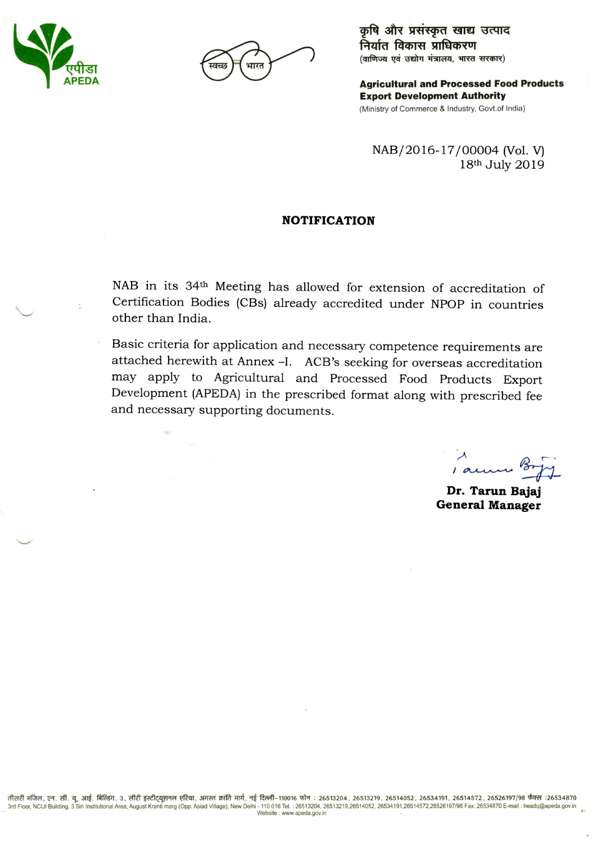

कृषि और प्रसंस्कृत खाद्य उत्पाद निर्यात विकास प्राधिकरण (वाणिज्य एवं उद्योग मंत्रालय, भारत सरकार)

**Agricultural and Processed Food Products Export Development Authority** (Ministry of Commerce & Industry, Govt.of India)

NAB/2016-17/00004 (Vol. V) 18th July 2019

#### **NOTIFICATION**

NAB in its 34th Meeting has allowed for extension of accreditation of Certification Bodies (CBs) already accredited under NPOP in countries other than India.

Basic criteria for application and necessary competence requirements are attached herewith at Annex -I. ACB's seeking for overseas accreditation may apply to Agricultural and Processed Food Products Export Development (APEDA) in the prescribed format along with prescribed fee and necessary supporting documents.

1 anni 8

Dr. Tarun Bajaj **General Manager**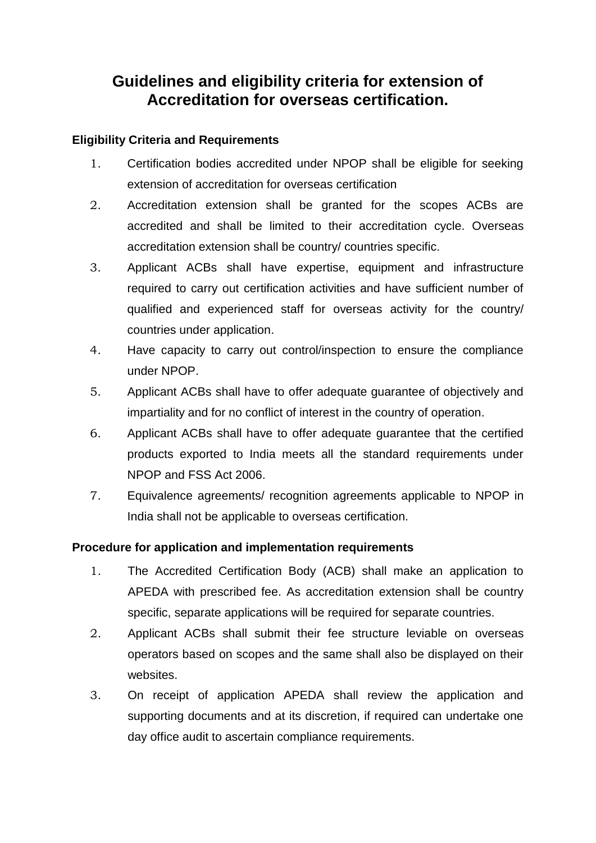# **Guidelines and eligibility criteria for extension of Accreditation for overseas certification.**

# **Eligibility Criteria and Requirements**

- 1. Certification bodies accredited under NPOP shall be eligible for seeking extension of accreditation for overseas certification
- 2. Accreditation extension shall be granted for the scopes ACBs are accredited and shall be limited to their accreditation cycle. Overseas accreditation extension shall be country/ countries specific.
- 3. Applicant ACBs shall have expertise, equipment and infrastructure required to carry out certification activities and have sufficient number of qualified and experienced staff for overseas activity for the country/ countries under application.
- 4. Have capacity to carry out control/inspection to ensure the compliance under NPOP.
- 5. Applicant ACBs shall have to offer adequate guarantee of objectively and impartiality and for no conflict of interest in the country of operation.
- 6. Applicant ACBs shall have to offer adequate guarantee that the certified products exported to India meets all the standard requirements under NPOP and FSS Act 2006.
- 7. Equivalence agreements/ recognition agreements applicable to NPOP in India shall not be applicable to overseas certification.

### **Procedure for application and implementation requirements**

- 1. The Accredited Certification Body (ACB) shall make an application to APEDA with prescribed fee. As accreditation extension shall be country specific, separate applications will be required for separate countries.
- 2. Applicant ACBs shall submit their fee structure leviable on overseas operators based on scopes and the same shall also be displayed on their websites.
- 3. On receipt of application APEDA shall review the application and supporting documents and at its discretion, if required can undertake one day office audit to ascertain compliance requirements.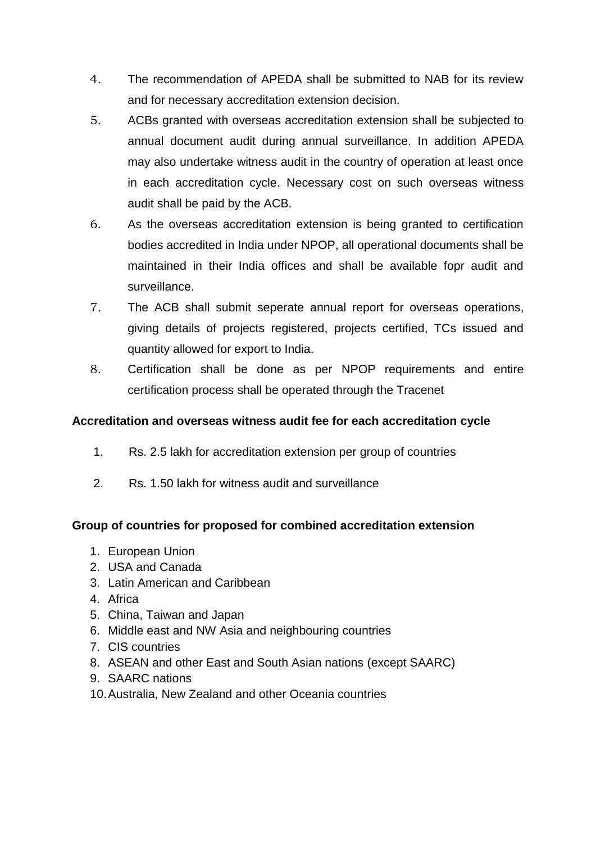- 4. The recommendation of APEDA shall be submitted to NAB for its review and for necessary accreditation extension decision.
- 5. ACBs granted with overseas accreditation extension shall be subjected to annual document audit during annual surveillance. In addition APEDA may also undertake witness audit in the country of operation at least once in each accreditation cycle. Necessary cost on such overseas witness audit shall be paid by the ACB.
- 6. As the overseas accreditation extension is being granted to certification bodies accredited in India under NPOP, all operational documents shall be maintained in their India offices and shall be available fopr audit and surveillance.
- 7. The ACB shall submit seperate annual report for overseas operations, giving details of projects registered, projects certified, TCs issued and quantity allowed for export to India.
- 8. Certification shall be done as per NPOP requirements and entire certification process shall be operated through the Tracenet

# **Accreditation and overseas witness audit fee for each accreditation cycle**

- 1. Rs. 2.5 lakh for accreditation extension per group of countries
- 2. Rs. 1.50 lakh for witness audit and surveillance

### **Group of countries for proposed for combined accreditation extension**

- 1. European Union
- 2. USA and Canada
- 3. Latin American and Caribbean
- 4. Africa
- 5. China, Taiwan and Japan
- 6. Middle east and NW Asia and neighbouring countries
- 7. CIS countries
- 8. ASEAN and other East and South Asian nations (except SAARC)
- 9. SAARC nations
- 10.Australia, New Zealand and other Oceania countries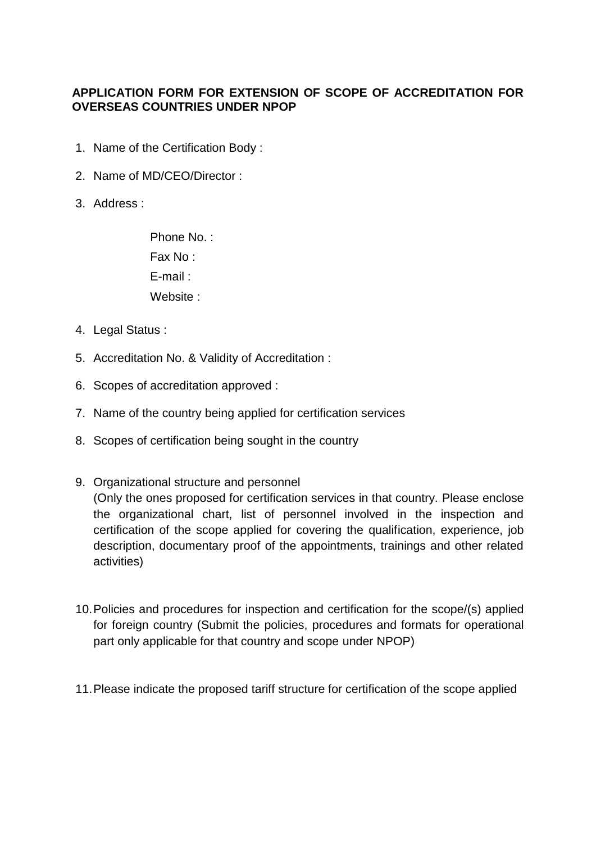### **APPLICATION FORM FOR EXTENSION OF SCOPE OF ACCREDITATION FOR OVERSEAS COUNTRIES UNDER NPOP**

- 1. Name of the Certification Body :
- 2. Name of MD/CEO/Director :
- 3. Address :

Phone No.: Fax No : E-mail : Website :

- 4. Legal Status :
- 5. Accreditation No. & Validity of Accreditation :
- 6. Scopes of accreditation approved :
- 7. Name of the country being applied for certification services
- 8. Scopes of certification being sought in the country
- 9. Organizational structure and personnel (Only the ones proposed for certification services in that country. Please enclose the organizational chart, list of personnel involved in the inspection and certification of the scope applied for covering the qualification, experience, job description, documentary proof of the appointments, trainings and other related activities)
- 10.Policies and procedures for inspection and certification for the scope/(s) applied for foreign country (Submit the policies, procedures and formats for operational part only applicable for that country and scope under NPOP)
- 11.Please indicate the proposed tariff structure for certification of the scope applied